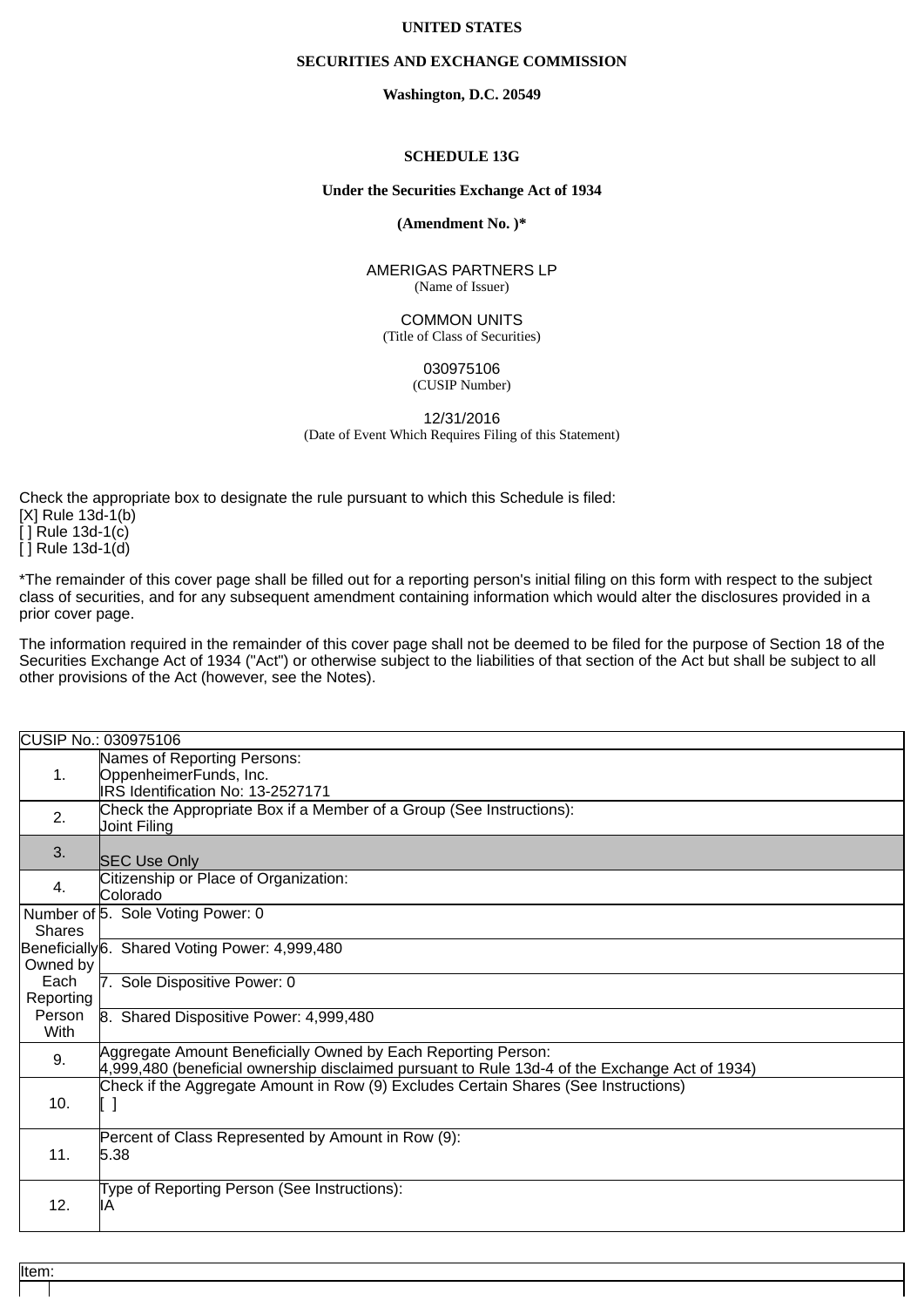## **UNITED STATES**

### **SECURITIES AND EXCHANGE COMMISSION**

**Washington, D.C. 20549**

### **SCHEDULE 13G**

### **Under the Securities Exchange Act of 1934**

**(Amendment No. )\***

AMERIGAS PARTNERS LP (Name of Issuer)

COMMON UNITS (Title of Class of Securities)

> 030975106 (CUSIP Number)

12/31/2016 (Date of Event Which Requires Filing of this Statement)

Check the appropriate box to designate the rule pursuant to which this Schedule is filed: [X] Rule 13d-1(b) [ ] Rule 13d-1(c) [ ] Rule 13d-1(d)

\*The remainder of this cover page shall be filled out for a reporting person's initial filing on this form with respect to the subject class of securities, and for any subsequent amendment containing information which would alter the disclosures provided in a prior cover page.

The information required in the remainder of this cover page shall not be deemed to be filed for the purpose of Section 18 of the Securities Exchange Act of 1934 ("Act") or otherwise subject to the liabilities of that section of the Act but shall be subject to all other provisions of the Act (however, see the Notes).

| CUSIP No.: 030975106 |                                                                                                                                                                 |  |
|----------------------|-----------------------------------------------------------------------------------------------------------------------------------------------------------------|--|
| 1.                   | Names of Reporting Persons:<br>OppenheimerFunds, Inc.                                                                                                           |  |
|                      | IRS Identification No: 13-2527171                                                                                                                               |  |
| 2.                   | Check the Appropriate Box if a Member of a Group (See Instructions):<br>Joint Filing                                                                            |  |
| 3.                   | <b>SEC Use Only</b>                                                                                                                                             |  |
| 4.                   | Citizenship or Place of Organization:<br>Colorado                                                                                                               |  |
| <b>Shares</b>        | Number of 5. Sole Voting Power: 0                                                                                                                               |  |
| Owned by             | Beneficially 6. Shared Voting Power: 4,999,480                                                                                                                  |  |
| Each<br>Reporting    | 7. Sole Dispositive Power: 0                                                                                                                                    |  |
| Person<br>With       | 8. Shared Dispositive Power: 4,999,480                                                                                                                          |  |
| 9.                   | Aggregate Amount Beneficially Owned by Each Reporting Person:<br>4,999,480 (beneficial ownership disclaimed pursuant to Rule 13d-4 of the Exchange Act of 1934) |  |
| 10.                  | Check if the Aggregate Amount in Row (9) Excludes Certain Shares (See Instructions)<br>[]                                                                       |  |
| 11.                  | Percent of Class Represented by Amount in Row (9):<br>5.38                                                                                                      |  |
| 12.                  | Type of Reporting Person (See Instructions):<br>IA                                                                                                              |  |

Item: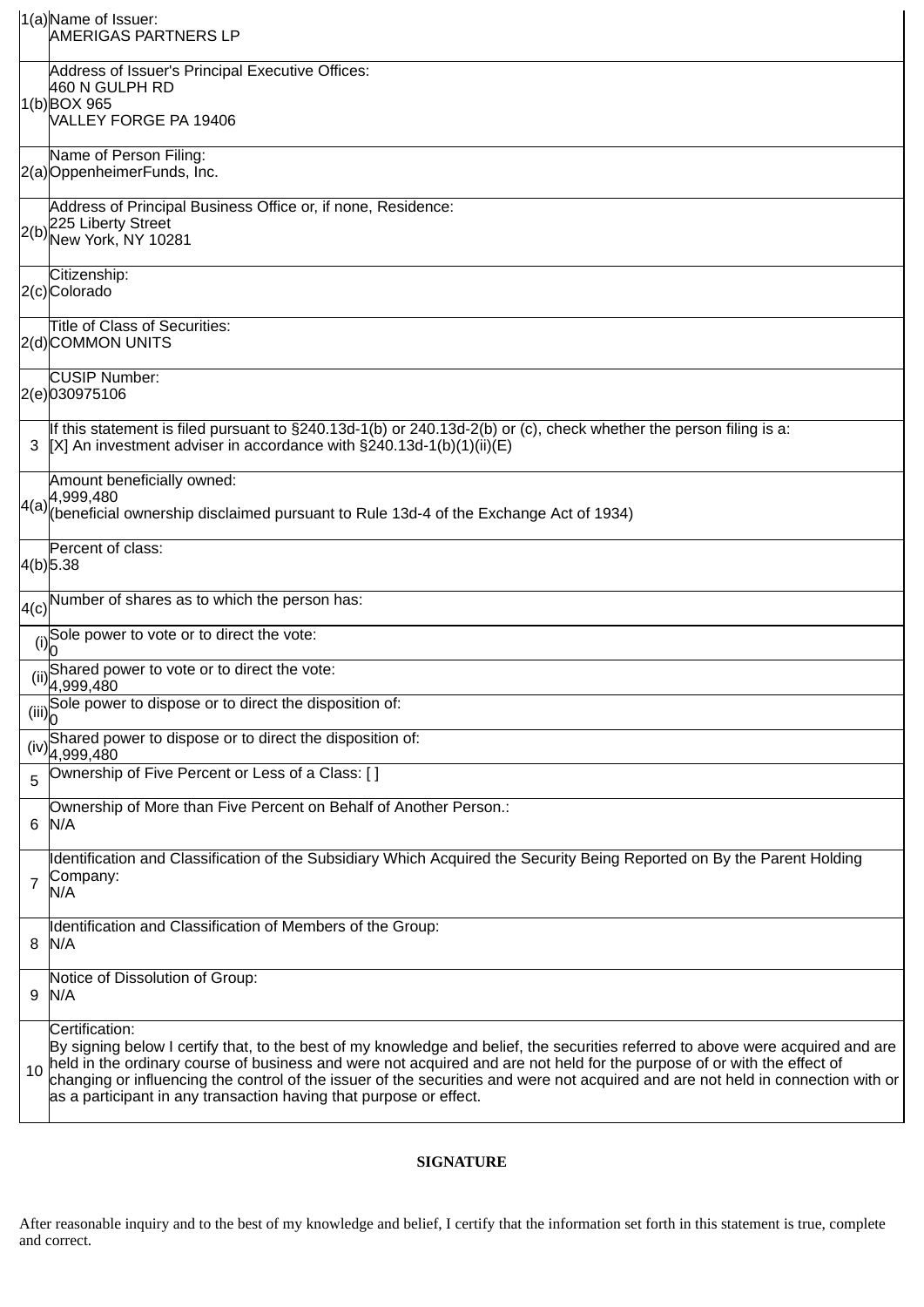|                | $1(a)$ Name of Issuer:<br>AMERIGAS PARTNERS LP                                                                                                                                                                                                                                                                                                                                                                                                                                         |  |
|----------------|----------------------------------------------------------------------------------------------------------------------------------------------------------------------------------------------------------------------------------------------------------------------------------------------------------------------------------------------------------------------------------------------------------------------------------------------------------------------------------------|--|
|                | Address of Issuer's Principal Executive Offices:<br>460 N GULPH RD<br>1(b)BOX 965                                                                                                                                                                                                                                                                                                                                                                                                      |  |
|                | VALLEY FORGE PA 19406                                                                                                                                                                                                                                                                                                                                                                                                                                                                  |  |
|                | Name of Person Filing:<br>2(a) Oppenheimer Funds, Inc.                                                                                                                                                                                                                                                                                                                                                                                                                                 |  |
| 2(b)           | Address of Principal Business Office or, if none, Residence:<br>225 Liberty Street<br>New York, NY 10281                                                                                                                                                                                                                                                                                                                                                                               |  |
|                | Citizenship:<br>2(c)Colorado                                                                                                                                                                                                                                                                                                                                                                                                                                                           |  |
|                | Title of Class of Securities:<br>2(d)COMMON UNITS                                                                                                                                                                                                                                                                                                                                                                                                                                      |  |
|                | <b>CUSIP Number:</b><br>2(e)030975106                                                                                                                                                                                                                                                                                                                                                                                                                                                  |  |
|                | If this statement is filed pursuant to $\S240.13d-1(b)$ or 240.13d-2(b) or (c), check whether the person filing is a:<br>$[X]$ An investment adviser in accordance with §240.13d-1(b)(1)(ii)(E)                                                                                                                                                                                                                                                                                        |  |
|                | Amount beneficially owned:<br>$\left 4(a)\right $ 4,999,480<br>$\left 4(a)\right $ (beneficial ownership disclaimed pursuant to Rule 13d-4 of the Exchange Act of 1934)                                                                                                                                                                                                                                                                                                                |  |
|                | Percent of class:<br>$4(b)$ 5.38                                                                                                                                                                                                                                                                                                                                                                                                                                                       |  |
|                | $\vert A(c) \vert$ Number of shares as to which the person has:                                                                                                                                                                                                                                                                                                                                                                                                                        |  |
|                | (i) Sole power to vote or to direct the vote:                                                                                                                                                                                                                                                                                                                                                                                                                                          |  |
|                | (ii) Shared power to vote or to direct the vote:<br>4,999,480                                                                                                                                                                                                                                                                                                                                                                                                                          |  |
|                | Sole power to dispose or to direct the disposition of:<br>(iii)                                                                                                                                                                                                                                                                                                                                                                                                                        |  |
| (iv)           | Shared power to dispose or to direct the disposition of:<br>4,999,480                                                                                                                                                                                                                                                                                                                                                                                                                  |  |
| 5              | Ownership of Five Percent or Less of a Class: []                                                                                                                                                                                                                                                                                                                                                                                                                                       |  |
| 6              | Ownership of More than Five Percent on Behalf of Another Person.:<br>N/A                                                                                                                                                                                                                                                                                                                                                                                                               |  |
| $\overline{7}$ | dentification and Classification of the Subsidiary Which Acquired the Security Being Reported on By the Parent Holding<br>Company:<br>N/A                                                                                                                                                                                                                                                                                                                                              |  |
| 8              | Identification and Classification of Members of the Group:<br>N/A                                                                                                                                                                                                                                                                                                                                                                                                                      |  |
| 9              | Notice of Dissolution of Group:<br>N/A                                                                                                                                                                                                                                                                                                                                                                                                                                                 |  |
| 10             | Certification:<br>By signing below I certify that, to the best of my knowledge and belief, the securities referred to above were acquired and are<br>held in the ordinary course of business and were not acquired and are not held for the purpose of or with the effect of<br>changing or influencing the control of the issuer of the securities and were not acquired and are not held in connection with or<br>as a participant in any transaction having that purpose or effect. |  |

# **SIGNATURE**

After reasonable inquiry and to the best of my knowledge and belief, I certify that the information set forth in this statement is true, complete and correct.